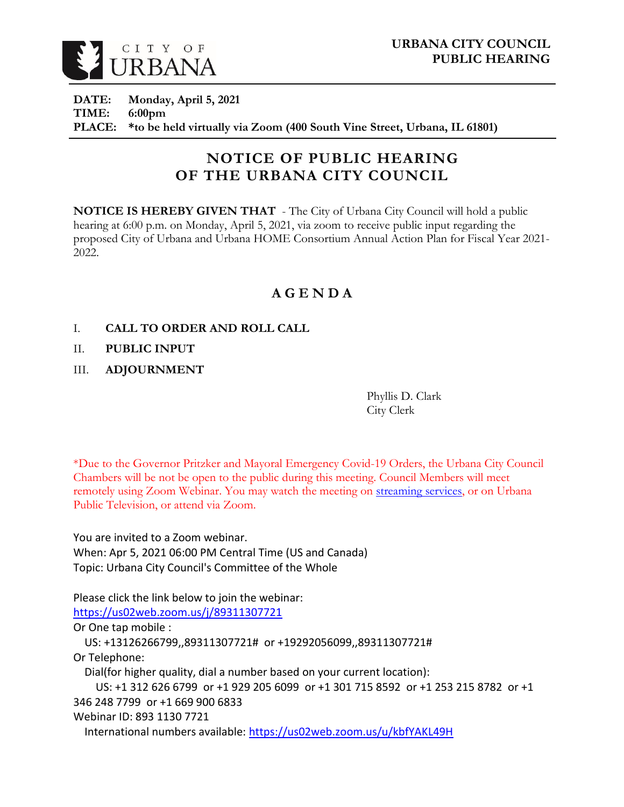

**DATE: Monday, April 5, 2021 TIME: 6:00pm PLACE: \*to be held virtually via Zoom (400 South Vine Street, Urbana, IL 61801)**

# **NOTICE OF PUBLIC HEARING OF THE URBANA CITY COUNCIL**

**NOTICE IS HEREBY GIVEN THAT** - The City of Urbana City Council will hold a public hearing at 6:00 p.m. on Monday, April 5, 2021, via zoom to receive public input regarding the proposed City of Urbana and Urbana HOME Consortium Annual Action Plan for Fiscal Year 2021- 2022.

## **A G E N D A**

- I. **CALL TO ORDER AND ROLL CALL**
- II. **PUBLIC INPUT**
- III. **ADJOURNMENT**

Phyllis D. Clark City Clerk

\*Due to the Governor Pritzker and Mayoral Emergency Covid-19 Orders, the Urbana City Council Chambers will be not be open to the public during this meeting. Council Members will meet remotely using Zoom Webinar. You may watch the meeting on [streaming services,](https://livestream.com/urbana) or on Urbana Public Television, or attend via Zoom.

You are invited to a Zoom webinar. When: Apr 5, 2021 06:00 PM Central Time (US and Canada) Topic: Urbana City Council's Committee of the Whole

Please click the link below to join the webinar:

<https://us02web.zoom.us/j/89311307721>

Or One tap mobile :

US: +13126266799,,89311307721# or +19292056099,,89311307721# Or Telephone:

Dial(for higher quality, dial a number based on your current location):

US: +1 312 626 6799 or +1 929 205 6099 or +1 301 715 8592 or +1 253 215 8782 or +1 346 248 7799 or +1 669 900 6833

Webinar ID: 893 1130 7721

International numbers available:<https://us02web.zoom.us/u/kbfYAKL49H>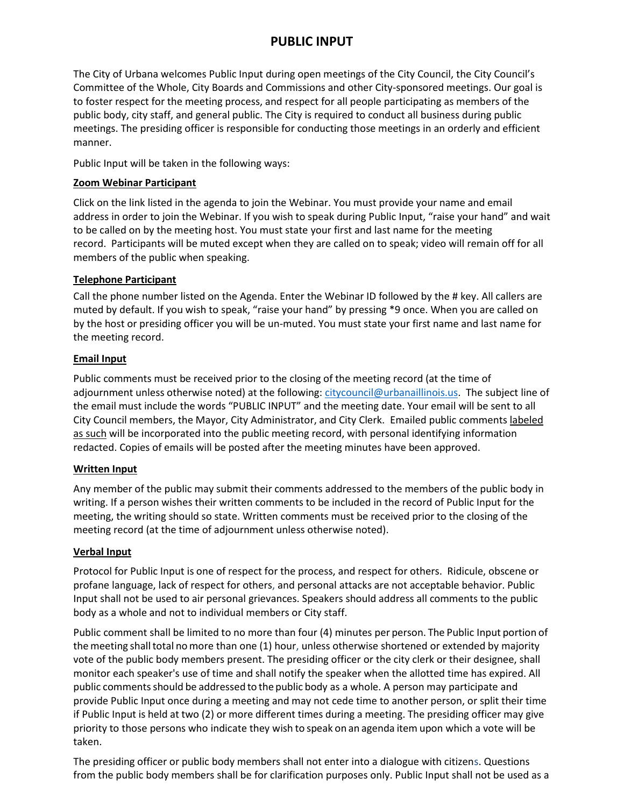### **PUBLIC INPUT**

The City of Urbana welcomes Public Input during open meetings of the City Council, the City Council's Committee of the Whole, City Boards and Commissions and other City-sponsored meetings. Our goal is to foster respect for the meeting process, and respect for all people participating as members of the public body, city staff, and general public. The City is required to conduct all business during public meetings. The presiding officer is responsible for conducting those meetings in an orderly and efficient manner.

Public Input will be taken in the following ways:

#### **Zoom Webinar Participant**

Click on the link listed in the agenda to join the Webinar. You must provide your name and email address in order to join the Webinar. If you wish to speak during Public Input, "raise your hand" and wait to be called on by the meeting host. You must state your first and last name for the meeting record. Participants will be muted except when they are called on to speak; video will remain off for all members of the public when speaking.

#### **Telephone Participant**

Call the phone number listed on the Agenda. Enter the Webinar ID followed by the # key. All callers are muted by default. If you wish to speak, "raise your hand" by pressing \*9 once. When you are called on by the host or presiding officer you will be un-muted. You must state your first name and last name for the meeting record.

#### **Email Input**

Public comments must be received prior to the closing of the meeting record (at the time of adjournment unless otherwise noted) at the following: [citycouncil@urbanaillinois.us.](mailto:citycouncil@urbanaillinois.us) The subject line of the email must include the words "PUBLIC INPUT" and the meeting date. Your email will be sent to all City Council members, the Mayor, City Administrator, and City Clerk. Emailed public comments labeled as such will be incorporated into the public meeting record, with personal identifying information redacted. Copies of emails will be posted after the meeting minutes have been approved.

#### **Written Input**

Any member of the public may submit their comments addressed to the members of the public body in writing. If a person wishes their written comments to be included in the record of Public Input for the meeting, the writing should so state. Written comments must be received prior to the closing of the meeting record (at the time of adjournment unless otherwise noted).

#### **Verbal Input**

Protocol for Public Input is one of respect for the process, and respect for others. Ridicule, obscene or profane language, lack of respect for others, and personal attacks are not acceptable behavior. Public Input shall not be used to air personal grievances. Speakers should address all comments to the public body as a whole and not to individual members or City staff.

Public comment shall be limited to no more than four (4) minutes per person. The Public Input portion of the meeting shall total no more than one (1) hour, unless otherwise shortened or extended by majority vote of the public body members present. The presiding officer or the city clerk or their designee, shall monitor each speaker's use of time and shall notify the speaker when the allotted time has expired. All public commentsshould be addressed to the public body as a whole. A person may participate and provide Public Input once during a meeting and may not cede time to another person, or split their time if Public Input is held at two (2) or more different times during a meeting. The presiding officer may give priority to those persons who indicate they wish to speak on an agenda item upon which a vote will be taken.

The presiding officer or public body members shall not enter into a dialogue with citizens. Questions from the public body members shall be for clarification purposes only. Public Input shall not be used as a